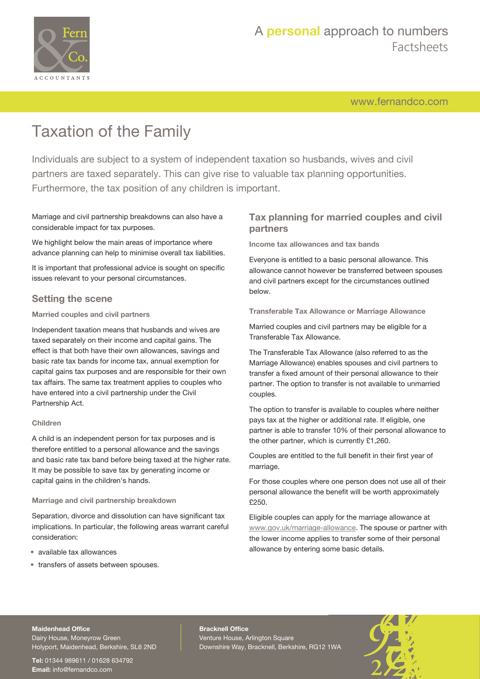

[www.fernandco.com](http://www.fernandco.com)

# Taxation of the Family

Individuals are subject to a system of independent taxation so husbands, wives and civil partners are taxed separately. This can give rise to valuable tax planning opportunities. Furthermore, the tax position of any children is important.

Marriage and civil partnership breakdowns can also have a considerable impact for tax purposes.

We highlight below the main areas of importance where advance planning can help to minimise overall tax liabilities.

It is important that professional advice is sought on specific issues relevant to your personal circumstances.

### **Setting the scene**

### **Married couples and civil partners**

Independent taxation means that husbands and wives are taxed separately on their income and capital gains. The effect is that both have their own allowances, savings and basic rate tax bands for income tax, annual exemption for capital gains tax purposes and are responsible for their own tax affairs. The same tax treatment applies to couples who have entered into a civil partnership under the Civil Partnership Act.

### **Children**

A child is an independent person for tax purposes and is therefore entitled to a personal allowance and the savings and basic rate tax band before being taxed at the higher rate. It may be possible to save tax by generating income or capital gains in the children's hands.

### **Marriage and civil partnership breakdown**

Separation, divorce and dissolution can have significant tax implications. In particular, the following areas warrant careful consideration:

- available tax allowances
- transfers of assets between spouses.

## **Tax planning for married couples and civil partners**

**Income tax allowances and tax bands**

Everyone is entitled to a basic personal allowance. This allowance cannot however be transferred between spouses and civil partners except for the circumstances outlined below.

**Transferable Tax Allowance or Marriage Allowance**

Married couples and civil partners may be eligible for a Transferable Tax Allowance.

The Transferable Tax Allowance (also referred to as the Marriage Allowance) enables spouses and civil partners to transfer a fixed amount of their personal allowance to their partner. The option to transfer is not available to unmarried couples.

The option to transfer is available to couples where neither pays tax at the higher or additional rate. If eligible, one partner is able to transfer 10% of their personal allowance to the other partner, which is currently £1,260.

Couples are entitled to the full benefit in their first year of marriage.

For those couples where one person does not use all of their personal allowance the benefit will be worth approximately £250.

Eligible couples can apply for the marriage allowance at [www.gov.uk/marriage-allowance](https://www.gov.uk/marriage-allowance). The spouse or partner with the lower income applies to transfer some of their personal allowance by entering some basic details.

### **Maidenhead Office**

Dairy House, Moneyrow Green Holyport, Maidenhead, Berkshire, SL6 2ND

**Tel:** 01344 989611 / 01628 634792 **Email:** [info@fernandco.com](mailto:info@fernandco.com)

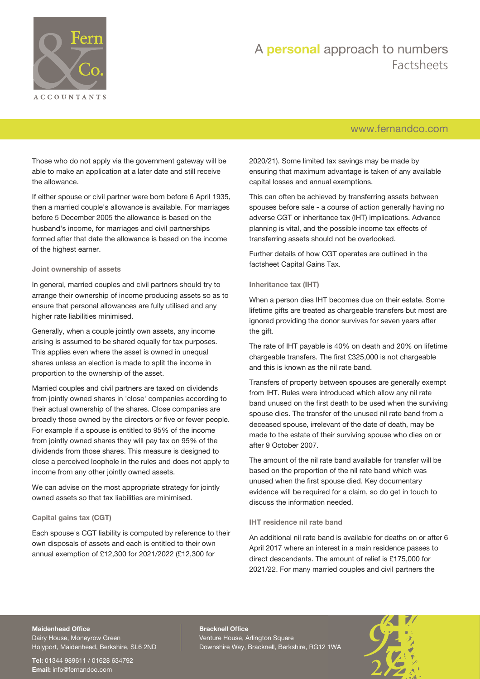

## [www.fernandco.com](http://www.fernandco.com)

Those who do not apply via the government gateway will be able to make an application at a later date and still receive the allowance.

If either spouse or civil partner were born before 6 April 1935, then a married couple's allowance is available. For marriages before 5 December 2005 the allowance is based on the husband's income, for marriages and civil partnerships formed after that date the allowance is based on the income of the highest earner.

#### **Joint ownership of assets**

In general, married couples and civil partners should try to arrange their ownership of income producing assets so as to ensure that personal allowances are fully utilised and any higher rate liabilities minimised.

Generally, when a couple jointly own assets, any income arising is assumed to be shared equally for tax purposes. This applies even where the asset is owned in unequal shares unless an election is made to split the income in proportion to the ownership of the asset.

Married couples and civil partners are taxed on dividends from jointly owned shares in 'close' companies according to their actual ownership of the shares. Close companies are broadly those owned by the directors or five or fewer people. For example if a spouse is entitled to 95% of the income from jointly owned shares they will pay tax on 95% of the dividends from those shares. This measure is designed to close a perceived loophole in the rules and does not apply to income from any other jointly owned assets.

We can advise on the most appropriate strategy for jointly owned assets so that tax liabilities are minimised.

### **Capital gains tax (CGT)**

Each spouse's CGT liability is computed by reference to their own disposals of assets and each is entitled to their own annual exemption of £12,300 for 2021/2022 (£12,300 for

2020/21). Some limited tax savings may be made by ensuring that maximum advantage is taken of any available capital losses and annual exemptions.

This can often be achieved by transferring assets between spouses before sale - a course of action generally having no adverse CGT or inheritance tax (IHT) implications. Advance planning is vital, and the possible income tax effects of transferring assets should not be overlooked.

Further details of how CGT operates are outlined in the factsheet Capital Gains Tax.

#### **Inheritance tax (IHT)**

When a person dies IHT becomes due on their estate. Some lifetime gifts are treated as chargeable transfers but most are ignored providing the donor survives for seven years after the gift.

The rate of IHT payable is 40% on death and 20% on lifetime chargeable transfers. The first £325,000 is not chargeable and this is known as the nil rate band.

Transfers of property between spouses are generally exempt from IHT. Rules were introduced which allow any nil rate band unused on the first death to be used when the surviving spouse dies. The transfer of the unused nil rate band from a deceased spouse, irrelevant of the date of death, may be made to the estate of their surviving spouse who dies on or after 9 October 2007.

The amount of the nil rate band available for transfer will be based on the proportion of the nil rate band which was unused when the first spouse died. Key documentary evidence will be required for a claim, so do get in touch to discuss the information needed.

### **IHT residence nil rate band**

An additional nil rate band is available for deaths on or after 6 April 2017 where an interest in a main residence passes to direct descendants. The amount of relief is £175,000 for 2021/22. For many married couples and civil partners the

### **Maidenhead Office**

Dairy House, Moneyrow Green Holyport, Maidenhead, Berkshire, SL6 2ND

**Tel:** 01344 989611 / 01628 634792 **Email:** [info@fernandco.com](mailto:info@fernandco.com)

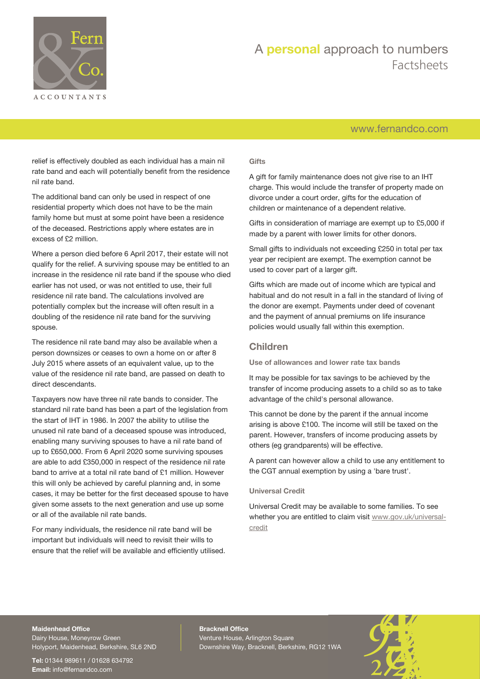

## [www.fernandco.com](http://www.fernandco.com)

relief is effectively doubled as each individual has a main nil rate band and each will potentially benefit from the residence nil rate band.

The additional band can only be used in respect of one residential property which does not have to be the main family home but must at some point have been a residence of the deceased. Restrictions apply where estates are in excess of £2 million.

Where a person died before 6 April 2017, their estate will not qualify for the relief. A surviving spouse may be entitled to an increase in the residence nil rate band if the spouse who died earlier has not used, or was not entitled to use, their full residence nil rate band. The calculations involved are potentially complex but the increase will often result in a doubling of the residence nil rate band for the surviving spouse.

The residence nil rate band may also be available when a person downsizes or ceases to own a home on or after 8 July 2015 where assets of an equivalent value, up to the value of the residence nil rate band, are passed on death to direct descendants.

Taxpayers now have three nil rate bands to consider. The standard nil rate band has been a part of the legislation from the start of IHT in 1986. In 2007 the ability to utilise the unused nil rate band of a deceased spouse was introduced, enabling many surviving spouses to have a nil rate band of up to £650,000. From 6 April 2020 some surviving spouses are able to add £350,000 in respect of the residence nil rate band to arrive at a total nil rate band of £1 million. However this will only be achieved by careful planning and, in some cases, it may be better for the first deceased spouse to have given some assets to the next generation and use up some or all of the available nil rate bands.

For many individuals, the residence nil rate band will be important but individuals will need to revisit their wills to ensure that the relief will be available and efficiently utilised.

### **Gifts**

A gift for family maintenance does not give rise to an IHT charge. This would include the transfer of property made on divorce under a court order, gifts for the education of children or maintenance of a dependent relative.

Gifts in consideration of marriage are exempt up to £5,000 if made by a parent with lower limits for other donors.

Small gifts to individuals not exceeding £250 in total per tax year per recipient are exempt. The exemption cannot be used to cover part of a larger gift.

Gifts which are made out of income which are typical and habitual and do not result in a fall in the standard of living of the donor are exempt. Payments under deed of covenant and the payment of annual premiums on life insurance policies would usually fall within this exemption.

### **Children**

**Use of allowances and lower rate tax bands**

It may be possible for tax savings to be achieved by the transfer of income producing assets to a child so as to take advantage of the child's personal allowance.

This cannot be done by the parent if the annual income arising is above £100. The income will still be taxed on the parent. However, transfers of income producing assets by others (eg grandparents) will be effective.

A parent can however allow a child to use any entitlement to the CGT annual exemption by using a 'bare trust'.

### **Universal Credit**

Universal Credit may be available to some families. To see whether you are entitled to claim visit [www.gov.uk/universal](https://www.gov.uk/universal-credit)[credit](https://www.gov.uk/universal-credit)

## **Maidenhead Office**

Dairy House, Moneyrow Green Holyport, Maidenhead, Berkshire, SL6 2ND

**Tel:** 01344 989611 / 01628 634792 **Email:** [info@fernandco.com](mailto:info@fernandco.com)